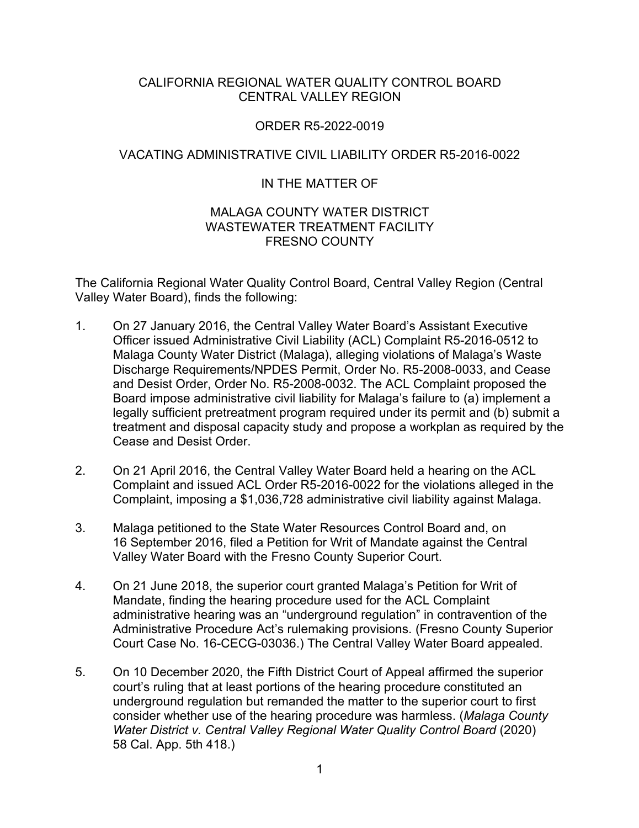#### CALIFORNIA REGIONAL WATER QUALITY CONTROL BOARD CENTRAL VALLEY REGION

#### ORDER R5-2022-0019

# VACATING ADMINISTRATIVE CIVIL LIABILITY ORDER R5-2016-0022

# IN THE MATTER OF

#### MALAGA COUNTY WATER DISTRICT WASTEWATER TREATMENT FACILITY FRESNO COUNTY

The California Regional Water Quality Control Board, Central Valley Region (Central Valley Water Board), finds the following:

- 1. On 27 January 2016, the Central Valley Water Board's Assistant Executive Officer issued Administrative Civil Liability (ACL) Complaint R5-2016-0512 to Malaga County Water District (Malaga), alleging violations of Malaga's Waste Discharge Requirements/NPDES Permit, Order No. R5-2008-0033, and Cease and Desist Order, Order No. R5-2008-0032. The ACL Complaint proposed the Board impose administrative civil liability for Malaga's failure to (a) implement a legally sufficient pretreatment program required under its permit and (b) submit a treatment and disposal capacity study and propose a workplan as required by the Cease and Desist Order.
- 2. On 21 April 2016, the Central Valley Water Board held a hearing on the ACL Complaint and issued ACL Order R5-2016-0022 for the violations alleged in the Complaint, imposing a \$1,036,728 administrative civil liability against Malaga.
- 3. Malaga petitioned to the State Water Resources Control Board and, on 16 September 2016, filed a Petition for Writ of Mandate against the Central Valley Water Board with the Fresno County Superior Court.
- 4. On 21 June 2018, the superior court granted Malaga's Petition for Writ of Mandate, finding the hearing procedure used for the ACL Complaint administrative hearing was an "underground regulation" in contravention of the Administrative Procedure Act's rulemaking provisions. (Fresno County Superior Court Case No. 16-CECG-03036.) The Central Valley Water Board appealed.
- 5. On 10 December 2020, the Fifth District Court of Appeal affirmed the superior court's ruling that at least portions of the hearing procedure constituted an underground regulation but remanded the matter to the superior court to first consider whether use of the hearing procedure was harmless. (*Malaga County Water District v. Central Valley Regional Water Quality Control Board* (2020) 58 Cal. App. 5th 418.)